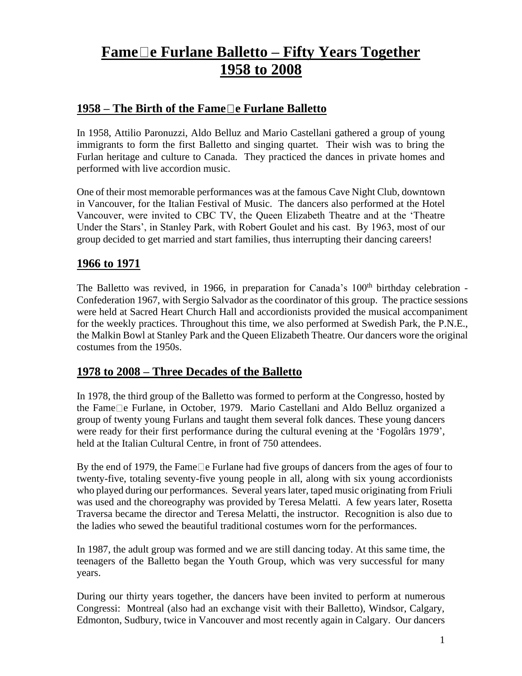## **Fame e Furlane Balletto – Fifty Years Together 1958 to 2008**

## **1958 – The Birth of the Fame e Furlane Balletto**

In 1958, Attilio Paronuzzi, Aldo Belluz and Mario Castellani gathered a group of young immigrants to form the first Balletto and singing quartet. Their wish was to bring the Furlan heritage and culture to Canada. They practiced the dances in private homes and performed with live accordion music.

One of their most memorable performances was at the famous Cave Night Club, downtown in Vancouver, for the Italian Festival of Music. The dancers also performed at the Hotel Vancouver, were invited to CBC TV, the Queen Elizabeth Theatre and at the 'Theatre Under the Stars', in Stanley Park, with Robert Goulet and his cast. By 1963, most of our group decided to get married and start families, thus interrupting their dancing careers!

## **1966 to 1971**

The Balletto was revived, in 1966, in preparation for Canada's 100<sup>th</sup> birthday celebration -Confederation 1967, with Sergio Salvador as the coordinator of this group. The practice sessions were held at Sacred Heart Church Hall and accordionists provided the musical accompaniment for the weekly practices. Throughout this time, we also performed at Swedish Park, the P.N.E., the Malkin Bowl at Stanley Park and the Queen Elizabeth Theatre. Our dancers wore the original costumes from the 1950s.

## **1978 to 2008 – Three Decades of the Balletto**

In 1978, the third group of the Balletto was formed to perform at the Congresso, hosted by the Fame $\Box$ e Furlane, in October, 1979. Mario Castellani and Aldo Belluz organized a group of twenty young Furlans and taught them several folk dances. These young dancers were ready for their first performance during the cultural evening at the 'Fogolârs 1979', held at the Italian Cultural Centre, in front of 750 attendees.

By the end of 1979, the Fame  $\Box$  e Furlane had five groups of dancers from the ages of four to twenty-five, totaling seventy-five young people in all, along with six young accordionists who played during our performances. Several years later, taped music originating from Friuli was used and the choreography was provided by Teresa Melatti. A few years later, Rosetta Traversa became the director and Teresa Melatti, the instructor. Recognition is also due to the ladies who sewed the beautiful traditional costumes worn for the performances.

In 1987, the adult group was formed and we are still dancing today. At this same time, the teenagers of the Balletto began the Youth Group, which was very successful for many years.

During our thirty years together, the dancers have been invited to perform at numerous Congressi: Montreal (also had an exchange visit with their Balletto), Windsor, Calgary, Edmonton, Sudbury, twice in Vancouver and most recently again in Calgary. Our dancers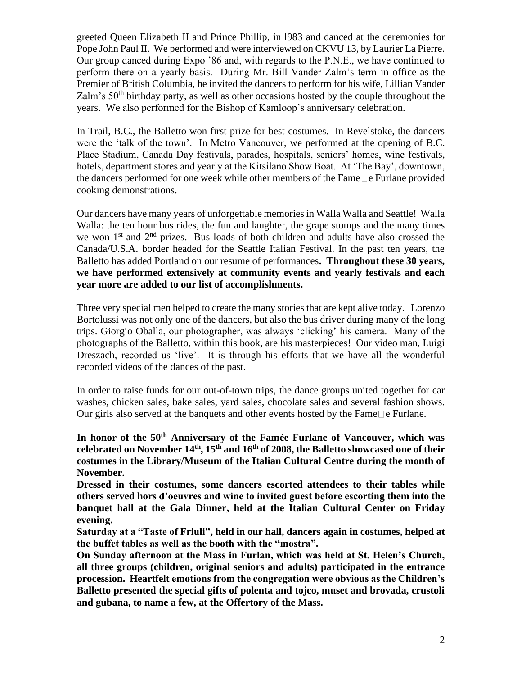greeted Queen Elizabeth II and Prince Phillip, in l983 and danced at the ceremonies for Pope John Paul II. We performed and were interviewed on CKVU 13, by Laurier La Pierre. Our group danced during Expo '86 and, with regards to the P.N.E., we have continued to perform there on a yearly basis. During Mr. Bill Vander Zalm's term in office as the Premier of British Columbia, he invited the dancers to perform for his wife, Lillian Vander Zalm's  $50<sup>th</sup>$  birthday party, as well as other occasions hosted by the couple throughout the years. We also performed for the Bishop of Kamloop's anniversary celebration.

In Trail, B.C., the Balletto won first prize for best costumes. In Revelstoke, the dancers were the 'talk of the town'. In Metro Vancouver, we performed at the opening of B.C. Place Stadium, Canada Day festivals, parades, hospitals, seniors' homes, wine festivals, hotels, department stores and yearly at the Kitsilano Show Boat. At 'The Bay', downtown, the dancers performed for one week while other members of the Fame  $\Box$  e Furlane provided cooking demonstrations.

Our dancers have many years of unforgettable memoriesin Walla Walla and Seattle! Walla Walla: the ten hour bus rides, the fun and laughter, the grape stomps and the many times we won  $1<sup>st</sup>$  and  $2<sup>nd</sup>$  prizes. Bus loads of both children and adults have also crossed the Canada/U.S.A. border headed for the Seattle Italian Festival. In the past ten years, the Balletto has added Portland on our resume of performances**. Throughout these 30 years, we have performed extensively at community events and yearly festivals and each year more are added to our list of accomplishments.** 

Three very special men helped to create the many stories that are kept alive today. Lorenzo Bortolussi was not only one of the dancers, but also the bus driver during many of the long trips. Giorgio Oballa, our photographer, was always 'clicking' his camera. Many of the photographs of the Balletto, within this book, are his masterpieces! Our video man, Luigi Dreszach, recorded us 'live'. It is through his efforts that we have all the wonderful recorded videos of the dances of the past.

In order to raise funds for our out-of-town trips, the dance groups united together for car washes, chicken sales, bake sales, yard sales, chocolate sales and several fashion shows. Our girls also served at the banquets and other events hosted by the Fame  $\Box$  e Furlane.

**In honor of the 50th Anniversary of the Famèe Furlane of Vancouver, which was celebrated on November 14th, 15th and 16th of 2008, the Balletto showcased one of their costumes in the Library/Museum of the Italian Cultural Centre during the month of November.**

**Dressed in their costumes, some dancers escorted attendees to their tables while others served hors d'oeuvres and wine to invited guest before escorting them into the banquet hall at the Gala Dinner, held at the Italian Cultural Center on Friday evening.**

**Saturday at a "Taste of Friuli", held in our hall, dancers again in costumes, helped at the buffet tables as well as the booth with the "mostra".**

**On Sunday afternoon at the Mass in Furlan, which was held at St. Helen's Church, all three groups (children, original seniors and adults) participated in the entrance procession. Heartfelt emotions from the congregation were obvious as the Children's Balletto presented the special gifts of polenta and tojco, muset and brovada, crustoli and gubana, to name a few, at the Offertory of the Mass.**